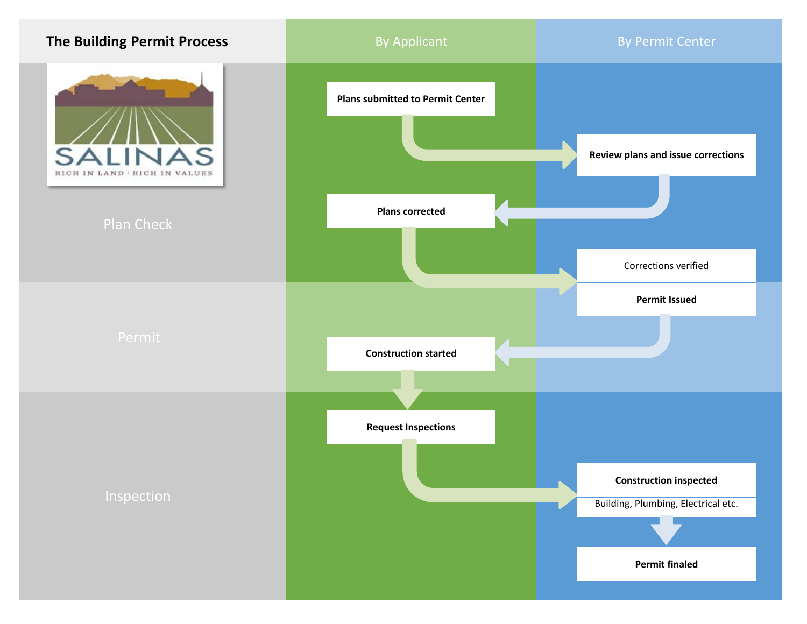